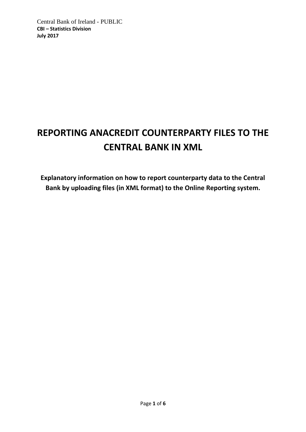# **REPORTING ANACREDIT COUNTERPARTY FILES TO THE CENTRAL BANK IN XML**

**Explanatory information on how to report counterparty data to the Central Bank by uploading files (in XML format) to the Online Reporting system.**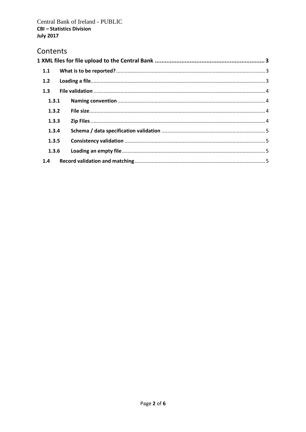# Contents

| 1.1   |  |  |  |
|-------|--|--|--|
| 1.2   |  |  |  |
| 1.3   |  |  |  |
| 1.3.1 |  |  |  |
| 1.3.2 |  |  |  |
| 1.3.3 |  |  |  |
| 1.3.4 |  |  |  |
| 1.3.5 |  |  |  |
| 1.3.6 |  |  |  |
| 1.4   |  |  |  |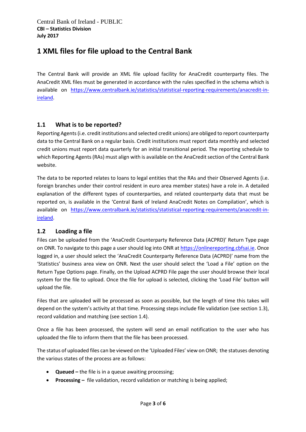# <span id="page-2-0"></span>**1 XML files for file upload to the Central Bank**

The Central Bank will provide an XML file upload facility for AnaCredit counterparty files. The AnaCredit XML files must be generated in accordance with the rules specified in the schema which is available on [https://www.centralbank.ie/statistics/statistical-reporting-requirements/anacredit-in](https://www.centralbank.ie/statistics/statistical-reporting-requirements/anacredit-in-ireland)[ireland.](https://www.centralbank.ie/statistics/statistical-reporting-requirements/anacredit-in-ireland)

## <span id="page-2-1"></span>**1.1 What is to be reported?**

Reporting Agents (i.e. credit institutions and selected credit unions) are obliged to report counterparty data to the Central Bank on a regular basis. Credit institutions must report data monthly and selected credit unions must report data quarterly for an initial transitional period. The reporting schedule to which Reporting Agents (RAs) must align with is available on the AnaCredit section of the Central Bank website.

The data to be reported relates to loans to legal entities that the RAs and their Observed Agents (i.e. foreign branches under their control resident in euro area member states) have a role in. A detailed explanation of the different types of counterparties, and related counterparty data that must be reported on, is available in the 'Central Bank of Ireland AnaCredit Notes on Compilation', which is available on [https://www.centralbank.ie/statistics/statistical-reporting-requirements/anacredit-in](https://www.centralbank.ie/statistics/statistical-reporting-requirements/anacredit-in-ireland)[ireland.](https://www.centralbank.ie/statistics/statistical-reporting-requirements/anacredit-in-ireland)

## <span id="page-2-2"></span>**1.2 Loading a file**

Files can be uploaded from the 'AnaCredit Counterparty Reference Data (ACPRD)' Return Type page on ONR. To navigate to this page a user should log into ONR a[t https://onlinereporting.cbfsai.ie.](https://onlinereporting.cbfsai.ie/) Once logged in, a user should select the 'AnaCredit Counterparty Reference Data (ACPRD)' name from the 'Statistics' business area view on ONR. Next the user should select the 'Load a File' option on the Return Type Options page. Finally, on the Upload ACPRD File page the user should browse their local system for the file to upload. Once the file for upload is selected, clicking the 'Load File' button will upload the file.

Files that are uploaded will be processed as soon as possible, but the length of time this takes will depend on the system's activity at that time. Processing steps include file validation (see section 1.3), record validation and matching (see section 1.4).

Once a file has been processed, the system will send an email notification to the user who has uploaded the file to inform them that the file has been processed.

The status of uploaded files can be viewed on the 'Uploaded Files' view on ONR; the statuses denoting the various states of the process are as follows:

- **Queued –** the file is in a queue awaiting processing;
- **Processing –** file validation, record validation or matching is being applied;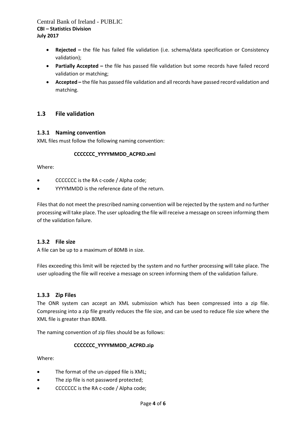Central Bank of Ireland - PUBLIC **CBI – Statistics Division July 2017** 

- **Rejected –** the file has failed file validation (i.e. schema/data specification or Consistency validation);
- **Partially Accepted –** the file has passed file validation but some records have failed record validation or matching;
- **Accepted –** the file has passed file validation and all records have passed record validation and matching.

## <span id="page-3-0"></span>**1.3 File validation**

#### <span id="page-3-1"></span>**1.3.1 Naming convention**

XML files must follow the following naming convention:

#### **CCCCCCC\_YYYYMMDD\_ACPRD.xml**

Where:

- CCCCCCC is the RA c-code / Alpha code;
- YYYYMMDD is the reference date of the return.

Files that do not meet the prescribed naming convention will be rejected by the system and no further processing will take place. The user uploading the file will receive a message on screen informing them of the validation failure.

#### <span id="page-3-2"></span>**1.3.2 File size**

A file can be up to a maximum of 80MB in size.

Files exceeding this limit will be rejected by the system and no further processing will take place. The user uploading the file will receive a message on screen informing them of the validation failure.

#### <span id="page-3-3"></span>**1.3.3 Zip Files**

The ONR system can accept an XML submission which has been compressed into a zip file. Compressing into a zip file greatly reduces the file size, and can be used to reduce file size where the XML file is greater than 80MB.

The naming convention of zip files should be as follows:

#### **CCCCCCC\_YYYYMMDD\_ACPRD.zip**

Where:

- The format of the un-zipped file is XML;
- The zip file is not password protected;
- CCCCCCCC is the RA c-code / Alpha code;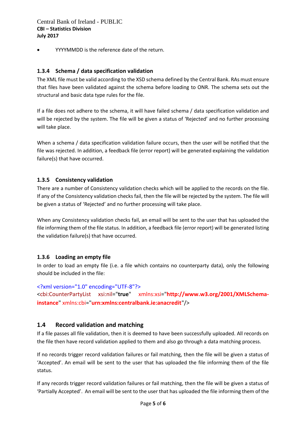YYYYMMDD is the reference date of the return.

#### <span id="page-4-0"></span>**1.3.4 Schema / data specification validation**

The XML file must be valid according to the XSD schema defined by the Central Bank. RAs must ensure that files have been validated against the schema before loading to ONR. The schema sets out the structural and basic data type rules for the file.

If a file does not adhere to the schema, it will have failed schema / data specification validation and will be rejected by the system. The file will be given a status of 'Rejected' and no further processing will take place.

When a schema / data specification validation failure occurs, then the user will be notified that the file was rejected. In addition, a feedback file (error report) will be generated explaining the validation failure(s) that have occurred.

#### <span id="page-4-1"></span>**1.3.5 Consistency validation**

There are a number of Consistency validation checks which will be applied to the records on the file. If any of the Consistency validation checks fail, then the file will be rejected by the system. The file will be given a status of 'Rejected' and no further processing will take place.

When any Consistency validation checks fail, an email will be sent to the user that has uploaded the file informing them of the file status. In addition, a feedback file (error report) will be generated listing the validation failure(s) that have occurred.

#### <span id="page-4-2"></span>**1.3.6 Loading an empty file**

In order to load an empty file (i.e. a file which contains no counterparty data), only the following should be included in the file:

<?xml version="1.0" encoding="UTF-8"?> <cbi:CounterPartyList xsi:nil="**true**" xmlns:xsi="**http://www.w3.org/2001/XMLSchemainstance**" xmlns:cbi="**urn:xmlns:centralbank.ie:anacredit**"/>

#### <span id="page-4-3"></span>**1.4 Record validation and matching**

If a file passes all file validation, then it is deemed to have been successfully uploaded. All records on the file then have record validation applied to them and also go through a data matching process.

If no records trigger record validation failures or fail matching, then the file will be given a status of 'Accepted'. An email will be sent to the user that has uploaded the file informing them of the file status.

If any records trigger record validation failures or fail matching, then the file will be given a status of 'Partially Accepted'. An email will be sent to the user that has uploaded the file informing them of the